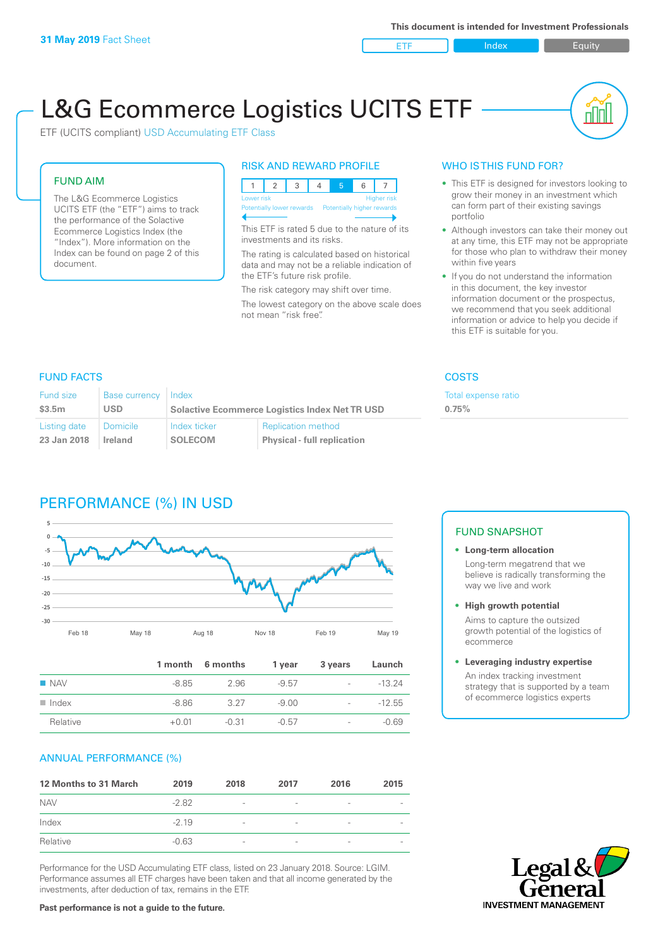ETF Index Builty

nn

# L&G Ecommerce Logistics UCITS ETF

ETF (UCITS compliant) USD Accumulating ETF Class

### FUND AIM

The L&G Ecommerce Logistics UCITS ETF (the "ETF") aims to track the performance of the Solactive Ecommerce Logistics Index (the "Index"). More information on the Index can be found on page 2 of this document.

### RISK AND REWARD PROFILE



This ETF is rated 5 due to the nature of its investments and its risks.

The rating is calculated based on historical data and may not be a reliable indication of the ETF's future risk profile.

The risk category may shift over time. The lowest category on the above scale does not mean "risk free".

### WHO IS THIS FUND FOR?

- This ETF is designed for investors looking to grow their money in an investment which can form part of their existing savings portfolio
- Although investors can take their money out at any time, this ETF may not be appropriate for those who plan to withdraw their money within five years
- If you do not understand the information in this document, the key investor information document or the prospectus, we recommend that you seek additional information or advice to help you decide if this ETF is suitable for you.

**0.75%**

Total expense ratio

### FUND FACTS COSTS

| Fund size    | Base currency | Index                                                 |                                    |  |
|--------------|---------------|-------------------------------------------------------|------------------------------------|--|
| \$3.5m       | USD.          | <b>Solactive Ecommerce Logistics Index Net TR USD</b> |                                    |  |
| Listing date | l Domicile    | Index ticker                                          | <b>Replication method</b>          |  |
| 23 Jan 2018  | Ireland       | <b>SOLECOM</b>                                        | <b>Physical - full replication</b> |  |

# PERFORMANCE (%) IN USD



|                      |         | 1 month 6 months | 1 year  | 3 years                  | Launch   |
|----------------------|---------|------------------|---------|--------------------------|----------|
| $\blacksquare$ NAV   | -8.85   | 2.96             | $-9.57$ | -                        | $-13.24$ |
| $\blacksquare$ Index | -8.86   | 327              | $-9.00$ | $\overline{\phantom{0}}$ | $-12.55$ |
| Relative             | $+0.01$ | $-0.31$          | $-0.57$ | $\overline{\phantom{a}}$ | $-0.69$  |

### ANNUAL PERFORMANCE (%)

| 12 Months to 31 March | 2019    | 2018                     | 2017                     | 2016            | 2015                     |
|-----------------------|---------|--------------------------|--------------------------|-----------------|--------------------------|
| <b>NAV</b>            | $-2.82$ | $\overline{\phantom{m}}$ | $\qquad \qquad$          | $\qquad \qquad$ | $\overline{\phantom{a}}$ |
| Index                 | $-2.19$ | $\overline{\phantom{a}}$ | $\overline{\phantom{a}}$ | $\qquad \qquad$ |                          |
| Relative              | $-0.63$ | $\overline{\phantom{a}}$ |                          | ۰               |                          |

Performance for the USD Accumulating ETF class, listed on 23 January 2018. Source: LGIM. Performance assumes all ETF charges have been taken and that all income generated by the investments, after deduction of tax, remains in the ETF.

## FUND SNAPSHOT

**• Long-term allocation** Long-term megatrend that we believe is radically transforming the way we live and work

**• High growth potential**

Aims to capture the outsized growth potential of the logistics of ecommerce

### **• Leveraging industry expertise**

An index tracking investment strategy that is supported by a team of ecommerce logistics experts



### **Past performance is not a guide to the future.**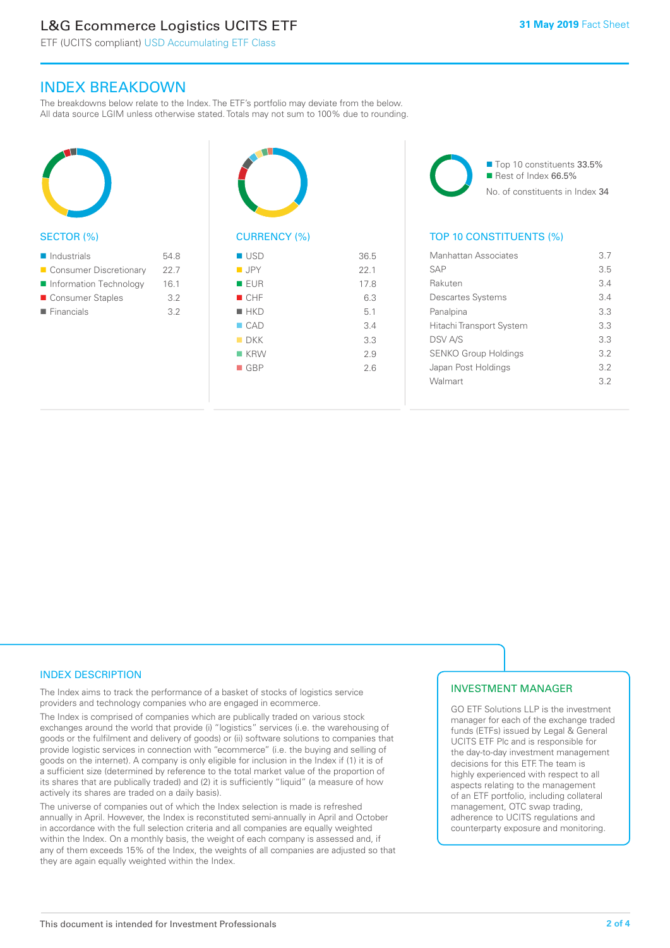# L&G Ecommerce Logistics UCITS ETF

ETF (UCITS compliant) USD Accumulating ETF Class

### INDEX BREAKDOWN

The breakdowns below relate to the Index. The ETF's portfolio may deviate from the below. All data source LGIM unless otherwise stated. Totals may not sum to 100% due to rounding.



### SECTOR (%)

| $\blacksquare$ Industrials | 54.8 |
|----------------------------|------|
| ■ Consumer Discretionary   | 22.7 |
| Information Technology     | 16.1 |
| ■ Consumer Staples         | 3.2  |
| $\blacksquare$ Financials  | 3.2  |
|                            |      |



# CURRENCY (%)

| ■ USD              | 36.5 |
|--------------------|------|
| $\blacksquare$ JPY | 22.1 |
| ■ EUR              | 17.8 |
| CHF                | 6.3  |
| $H$ HKD            | 5.1  |
| $\Box$ CAD         | 3.4  |
| $\blacksquare$ DKK | 3.3  |
| $R$ KRW            | 2.9  |
| $\blacksquare$ GBP | 2.6  |
|                    |      |

■ Top 10 constituents 33.5% Rest of Index 66.5% No. of constituents in Index 34

### TOP 10 CONSTITUENTS (%)

| Manhattan Associates        | 37  |
|-----------------------------|-----|
| <b>SAP</b>                  | 3.5 |
| Rakuten                     | 34  |
| <b>Descartes Systems</b>    | 34  |
| Panalpina                   | 33  |
| Hitachi Transport System    | 33  |
| <b>DSV A/S</b>              | 3.3 |
| <b>SENKO Group Holdings</b> | 32  |
| Japan Post Holdings         | 32  |
| Walmart                     | 32  |
|                             |     |

### INDEX DESCRIPTION

The Index aims to track the performance of a basket of stocks of logistics service providers and technology companies who are engaged in ecommerce.

The Index is comprised of companies which are publically traded on various stock exchanges around the world that provide (i) "logistics" services (i.e. the warehousing of goods or the fulfilment and delivery of goods) or (ii) software solutions to companies that provide logistic services in connection with "ecommerce" (i.e. the buying and selling of goods on the internet). A company is only eligible for inclusion in the Index if (1) it is of a sufficient size (determined by reference to the total market value of the proportion of its shares that are publically traded) and (2) it is sufficiently "liquid" (a measure of how actively its shares are traded on a daily basis).

The universe of companies out of which the Index selection is made is refreshed annually in April. However, the Index is reconstituted semi-annually in April and October in accordance with the full selection criteria and all companies are equally weighted within the Index. On a monthly basis, the weight of each company is assessed and, if any of them exceeds 15% of the Index, the weights of all companies are adjusted so that they are again equally weighted within the Index.

### INVESTMENT MANAGER

GO ETF Solutions LLP is the investment manager for each of the exchange traded funds (ETFs) issued by Legal & General UCITS ETF Plc and is responsible for the day-to-day investment management decisions for this ETF. The team is highly experienced with respect to all aspects relating to the management of an ETF portfolio, including collateral management, OTC swap trading, adherence to UCITS regulations and counterparty exposure and monitoring.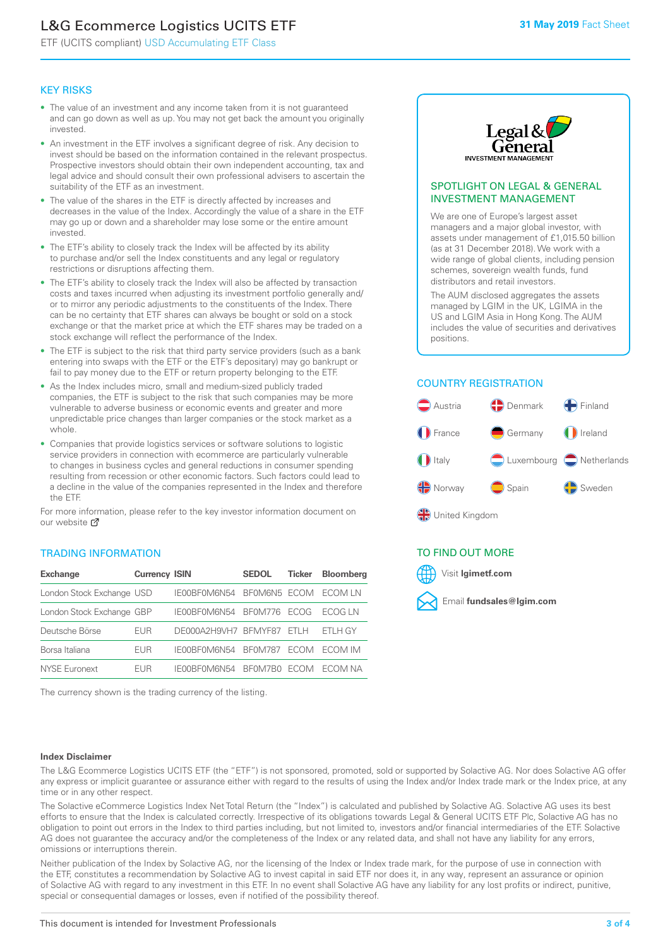# L&G Ecommerce Logistics UCITS ETF

ETF (UCITS compliant) USD Accumulating ETF Class

### KEY RISKS

- The value of an investment and any income taken from it is not guaranteed and can go down as well as up. You may not get back the amount you originally invested.
- An investment in the ETF involves a significant degree of risk. Any decision to invest should be based on the information contained in the relevant prospectus. Prospective investors should obtain their own independent accounting, tax and legal advice and should consult their own professional advisers to ascertain the suitability of the ETF as an investment.
- The value of the shares in the ETF is directly affected by increases and decreases in the value of the Index. Accordingly the value of a share in the ETF may go up or down and a shareholder may lose some or the entire amount invested.
- The ETF's ability to closely track the Index will be affected by its ability to purchase and/or sell the Index constituents and any legal or regulatory restrictions or disruptions affecting them.
- The ETF's ability to closely track the Index will also be affected by transaction costs and taxes incurred when adjusting its investment portfolio generally and/ or to mirror any periodic adjustments to the constituents of the Index. There can be no certainty that ETF shares can always be bought or sold on a stock exchange or that the market price at which the ETF shares may be traded on a stock exchange will reflect the performance of the Index.
- The ETF is subject to the risk that third party service providers (such as a bank entering into swaps with the ETF or the ETF's depositary) may go bankrupt or fail to pay money due to the ETF or return property belonging to the ETF.
- As the Index includes micro, small and medium-sized publicly traded companies, the ETF is subject to the risk that such companies may be more vulnerable to adverse business or economic events and greater and more unpredictable price changes than larger companies or the stock market as a whole.
- Companies that provide logistics services or software solutions to logistic service providers in connection with ecommerce are particularly vulnerable to changes in business cycles and general reductions in consumer spending resulting from recession or other economic factors. Such factors could lead to a decline in the value of the companies represented in the Index and therefore the ETF.

For more in[form](https://www.lgimetf.com/)ation, please refer to the key investor information document on our website **Z** 

### TRADING INFORMATION

| <b>Exchange</b>           | <b>Currency ISIN</b> |                      | <b>SEDOL</b>   | <b>Ticker</b> | Bloomberg |
|---------------------------|----------------------|----------------------|----------------|---------------|-----------|
| London Stock Exchange USD |                      | IE00BF0M6N54         | BFOM6N5 ECOM   |               | ECOM IN   |
| London Stock Exchange GBP |                      | IE00BF0M6N54         | BF0M776        | <b>FCOG</b>   | FCOG IN   |
| Deutsche Börse            | EUR                  | DE000A2H9VH7 BFMYF87 |                | FTI H         | ETLH GY   |
| Borsa Italiana            | EUR                  | IE00BF0M6N54         | <b>BF0M787</b> | <b>FCOM</b>   | ECOM IM   |
| NYSE Euronext             | <b>FUR</b>           | IF00BF0M6N54         | BF0M7B0        | <b>ECOM</b>   | FCOM NA   |

The currency shown is the trading currency of the listing.



### SPOTLIGHT ON LEGAL & GENERAL INVESTMENT MANAGEMENT

We are one of Europe's largest asset managers and a major global investor, with assets under management of £1,015.50 billion (as at 31 December 2018). We work with a wide range of global clients, including pension schemes, sovereign wealth funds, fund distributors and retail investors.

The AUM disclosed aggregates the assets managed by LGIM in the UK, LGIMA in the US and LGIM Asia in Hong Kong. The AUM includes the value of securities and derivatives positions.

### COUNTRY REGISTRATION



### TO FIND OUT MORE



### **Index Disclaimer**

The L&G Ecommerce Logistics UCITS ETF (the "ETF") is not sponsored, promoted, sold or supported by Solactive AG. Nor does Solactive AG offer any express or implicit guarantee or assurance either with regard to the results of using the Index and/or Index trade mark or the Index price, at any time or in any other respect.

The Solactive eCommerce Logistics Index Net Total Return (the "Index") is calculated and published by Solactive AG. Solactive AG uses its best efforts to ensure that the Index is calculated correctly. Irrespective of its obligations towards Legal & General UCITS ETF Plc, Solactive AG has no obligation to point out errors in the Index to third parties including, but not limited to, investors and/or financial intermediaries of the ETF. Solactive AG does not guarantee the accuracy and/or the completeness of the Index or any related data, and shall not have any liability for any errors, omissions or interruptions therein.

Neither publication of the Index by Solactive AG, nor the licensing of the Index or Index trade mark, for the purpose of use in connection with the ETF, constitutes a recommendation by Solactive AG to invest capital in said ETF nor does it, in any way, represent an assurance or opinion of Solactive AG with regard to any investment in this ETF. In no event shall Solactive AG have any liability for any lost profits or indirect, punitive, special or consequential damages or losses, even if notified of the possibility thereof.